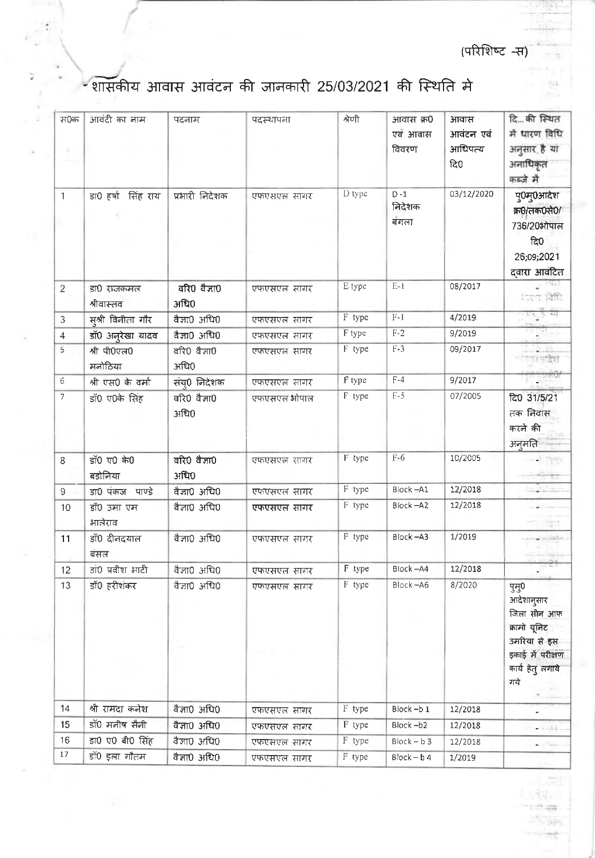(परिशिष्ट -स)

min. 837

 $\equiv 0.4$ 

## -शासकीय आवास आवंटन की जानकारी 25/03/2021 की स्थिति मे

 $\ddot{\cdot}$ 

 $\gtrsim$ 

| स0क<br>4       | आवंटी का नाम             | पदनाम                | पदस्थापना                  | श्रेणी | आवास क्र0<br>एवं आवास<br>विवरण | आवास<br>आवंटन एवं<br>आधिपत्य<br>दि0 | दिकी स्थित<br>में धारण विधि<br>अनुसार है या<br>अनाधिकृत                                                           |
|----------------|--------------------------|----------------------|----------------------------|--------|--------------------------------|-------------------------------------|-------------------------------------------------------------------------------------------------------------------|
| $\mathbf{1}$   | डा0 हर्षा सिंह राय       | प्रभारी निदेशक       | एफएसएल सागर                | D type | $D - 1$<br>निदेशक<br>बंगला     | 03/12/2020                          | कब्जे में<br>पु0मु0आदेश<br>क्र0/तक0से0/<br>736/20ओपाल<br>ਕਿ0<br>26;09;2021<br>द्वारा आवंटित                       |
| $\overline{2}$ | डा0 राजकमल<br>श्रीवास्तव | वरि0 वैज्ञा0<br>अधि0 | एफएसएल सागर                | E type | $E-1$                          | 08/2017                             | ारण विधि                                                                                                          |
| 3              | स्श्री विनीता गौर        | वैज्ञा0 अधि0         | एफएसएल सागर                | F type | $F-1$                          | 4/2019                              | $x_4$                                                                                                             |
| $\overline{4}$ | डॉ0 अनुरेखा यादव         | वैज्ञा0 अधि0         | एफएसएल सागर                | F type | $F-2$                          | 9/2019                              |                                                                                                                   |
| 5              | श्री पी0एल0<br>मनोठिया   | वरि0 वैज्ञा0<br>अधि0 | एफएसएल सागर                | F type | $F-3$                          | 09/2017                             |                                                                                                                   |
| 6              | श्री एस0 के वर्मा        | संयु0 निदेशक         | एफएसएल सागर                | F type | $F-4$                          | 9/2017                              |                                                                                                                   |
| 7              | डॉ0 ए0के सिंह            | वरि0 वैज्ञा0<br>अधि0 | एफएसएल ओपाल                | F type | $\mathrm{F-5}$                 | 07/2005                             | ਟਿ0 31/5/21<br>तक निवास<br>करने की<br>अनुमति                                                                      |
| 8              | डॉ0 ए0 के0<br>बडोनिया    | वरि0 वैज्ञा0<br>अधि0 | एफएसएल सागर                | F type | $F-6$                          | 10/2005                             | $+127$                                                                                                            |
| 9              | डा0 पंकज पाण्डे          | वैज्ञा0 अधि0         | एफएसएल सागर                | F type | Block-A1                       | 12/2018                             | coupletion                                                                                                        |
| 10             | डॉ0 उमा एम<br>भालेराव    | वैज्ञा0 अधि0         | एफएसएल सागर                | F type | Block-A2                       | 12/2018                             | 『魂』                                                                                                               |
| 11             | डॉ0 दीनदयाल<br>बंसल      | वैज्ञा0 अधि0         | एफएसएल सागर                | F type | Block-A3                       | 1/2019                              |                                                                                                                   |
| 12             | डां0 प्रवीश भाटी         | वैज्ञा0 अधि0         | एफएसएल सागर                | F type | Block-A4                       | 12/2018                             |                                                                                                                   |
| 13             | डॉ0 हरीशंकर              | वैज्ञा0 अधि0         | एफएसएल सागर                | F type | Block-A6                       | 8/2020                              | पुसु0<br>आदेशानुसार<br>जिला सीन आफ<br>क्रामो यूनिट<br>उमरिया से इस<br>इकाई में परीक्षण<br>कार्य हेतु लगाये<br>गये |
| 14             | श्री रामदा कनेश          | वैज्ञा0 अधि0         |                            | F type | Block-b1                       | 12/2018                             |                                                                                                                   |
| 15             | डॉ0 मनीष सैनी            | वैज्ञा0 अधि0         | एफएसएल सागर<br>एफएसएल सागर | F type | Block-b2                       | 12/2018                             |                                                                                                                   |
| 16             | डा0 ए0 बी0 सिंह          | वैज्ञा0 अधि0         | एफएसएल सागर                | F type | $Block - b3$                   | 12/2018                             | (1, 3)                                                                                                            |
| 17             | डॉ0 इला गौतम             | वैज्ञा0 अधि0         | एफएसएल सागर                | F type | $Block - b4$                   | 1/2019                              |                                                                                                                   |
|                |                          |                      |                            |        |                                |                                     |                                                                                                                   |

 $\frac{1}{2}$ **Little:** र ही दल

> $-1014$ .<br>सर्वे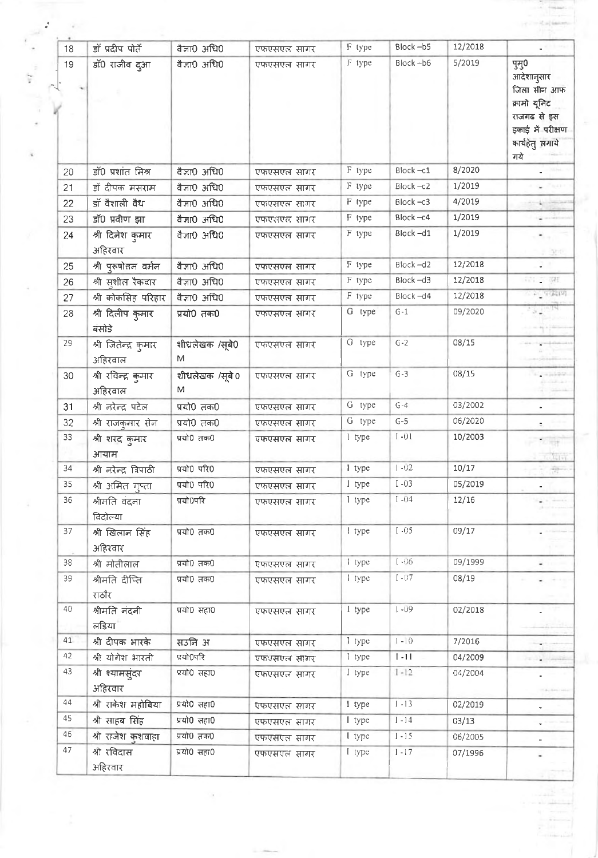| 18 | डॉ प्रदीप पोर्ते                | वैज्ञा0 अधि0        | एफएसएल सागर | F type | Block-b5 | 12/2018 |                                                           |
|----|---------------------------------|---------------------|-------------|--------|----------|---------|-----------------------------------------------------------|
| 19 | डॉ0 राजीव दुआ                   | वैज्ञा0 अधि0        | एफएसएल सागर | F type | Block-b6 | 5/2019  | पुमु0<br>आदेशानुसार<br>जिला सीन आफ<br>कामो यूनिट          |
|    |                                 |                     |             |        |          |         | राजगढ से इस<br>इकाई में परीक्षण<br>कार्यहेतु लगाये<br>गये |
| 20 | डॉ0 प्रशांत मिश्र               | वैज्ञा0 अधि0        | एफएसएल सागर | F type | Block-c1 | 8/2020  |                                                           |
| 21 | डॉ दीपक मसराम                   | वैज्ञा0 अधि0        | एफएसएल सागर | F type | Block-c2 | 1/2019  |                                                           |
| 22 | डॉ वैशाली वैध                   | वैज्ञा0 अधि0        | एफएसएल सागर | F type | Block-c3 | 4/2019  |                                                           |
| 23 | डॉ0 प्रवीण झा                   | वैज्ञा0 अधि0        | एफएसएल सागर | F type | Block-c4 | 1/2019  |                                                           |
| 24 | श्री दिनेश कुमार<br>अहिरवार     | वैज्ञा0 अधि0        | एफएसएल सागर | F type | Block-d1 | 1/2019  | ۰.,<br>雪白                                                 |
| 25 | श्री पुरुषोत्तम वर्मन           | वैज्ञा0 अधि0        | एफएसएल सागर | F type | Block-d2 | 12/2018 |                                                           |
| 26 | श्री सुशील रैकवार               | वैज्ञा0 अधि0        | एफएसएल सागर | F type | Block-d3 | 12/2018 | 精工课                                                       |
| 27 | श्री कोकसिह परिहार              | वैज्ञा0 अधि0        | एफएसएल सागर | F type | Block-d4 | 12/2018 | $\sim$ 5.7 addition                                       |
| 28 | श्री दिलीप कुमार<br>बंसोडे      | प्रयो0 तक0          | एफएसएल सागर | G type | $G-1$    | 09/2020 | $\sqrt{2}$ Tours                                          |
| 29 | श्री जितेन्द्र कुमार<br>अहिरवाल | शीधलेखक /सूबे0<br>M | एफएसएल सागर | G type | $G-2$    | 08/15   |                                                           |
| 30 | श्री रविन्द्र कुमार<br>अहिरवाल  | शीधलेखक /सूबे0<br>M | एफएसएल सागर | G type | $G-3$    | 08/15   |                                                           |
| 31 | श्री नरेन्द्र पटेल              | प्रयो0 तक0          | एफएसएल सागर | G type | $G-4$    | 03/2002 |                                                           |
| 32 | श्री राजकुमार सेन               | प्रयो0 तक0          | एफएसएल सागर | G type | $G-5$    | 06/2020 |                                                           |
| 33 | श्री शरद कुमार<br>आयाम          | प्रयो0 तक0          | एफएसएल सागर | I type | $I - 01$ | 10/2003 | $70 - 1$<br>高度时间                                          |
| 34 | श्री नरेन्द्र त्रिपाठी          | प्रयो0 परि0         | एफएसएल सागर | 1 type | $1 - 02$ | 10/17   | 학                                                         |
| 35 | श्री अमित गुप्ता                | प्रयो0 परि0         | एफएसएल सागर | I type | $I - 03$ | 05/2019 |                                                           |
| 36 | श्रीमति वंदना<br>विदोल्या       | प्रयो0परि           | एफएसएल सागर | I type | $I - 04$ | 12/16   |                                                           |
| 37 | श्री खिलान सिंह<br>अहिरवार      | प्रयो0 तक0          | एफएसएल सागर | 1 type | $I - 05$ | 09/17   |                                                           |
| 38 | श्री मोतीलाल                    | प्रयो0 तक0          | एफएसएल सागर | 1 type | $1 - 06$ | 09/1999 | $-$                                                       |
| 39 | श्रीमति दीप्ति<br>राठौर         | प्रयो0 तक0          | एफएसएल सागर | I type | $I - 07$ | 08/19   |                                                           |
| 40 | श्रीमति नंदनी<br>लडिया          | प्रयो0 सहा0         | एफएसएल सागर | I type | $1 - 09$ | 02/2018 |                                                           |
| 41 | श्री दीपक भारके                 | सउनि अ              | एफएसएल सागर | I type | $1 - 10$ | 7/2016  |                                                           |
| 42 | श्री योगेश भारती                | प्रयो0परि           | एफएसएल सागर | I type | $1 - 11$ | 04/2009 |                                                           |
| 43 | श्री श्यामसुंदर<br>अहिरवार      | प्रयो0 सहा0         | एफएसएल सागर | I type | $1 - 12$ | 04/2004 |                                                           |
| 44 | श्री राकेश महोबिया              | प्रयो0 सहा0         | एफएसएल सागर | 1 type | $1 - 13$ | 02/2019 | ۰                                                         |
| 45 | श्री साहब सिंह                  | प्रयो0 सहा0         | एफएसएल सागर | I type | $[-14]$  | 03/13   |                                                           |
| 46 | श्री राजेश कुशवाहा              | प्रयो0 तक0          | एफएसएल सागर | I type | $1 - 15$ | 06/2005 |                                                           |
| 47 | श्री रविदास<br>अहिरवार          | प्रयो0 सहा0         | एफएसएल सागर | I type | $I - 17$ | 07/1996 |                                                           |

 $\lambda$ 

 $\epsilon$  .

 $3.16$